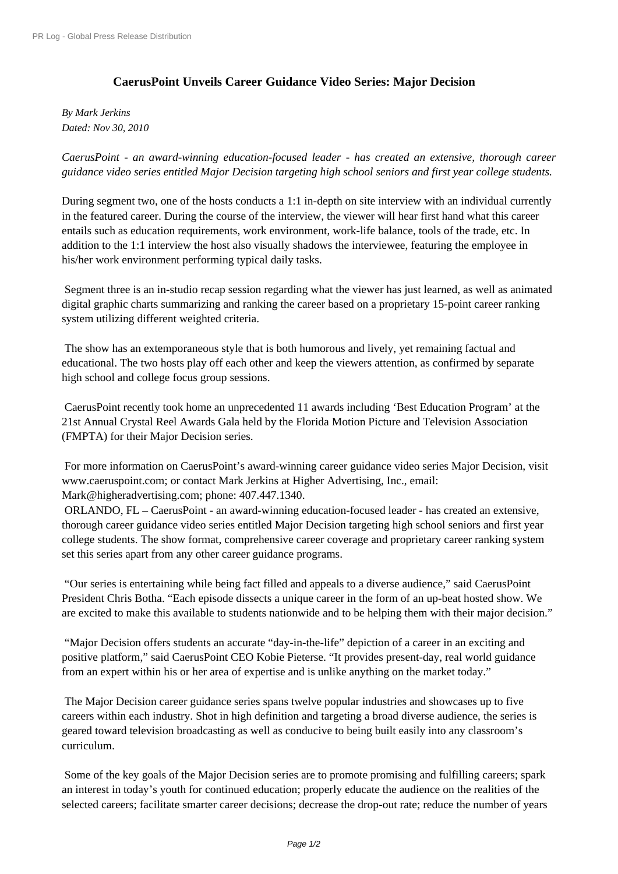## **[CaerusPoint Un](http://www.prlog.org/)veils Career Guidance Video Series: Major Decision**

*By Mark Jerkins Dated: Nov 30, 2010*

*CaerusPoint - an award-winning education-focused leader - has created an extensive, thorough career guidance video series entitled Major Decision targeting high school seniors and first year college students.*

During segment two, one of the hosts conducts a 1:1 in-depth on site interview with an individual currently in the featured career. During the course of the interview, the viewer will hear first hand what this career entails such as education requirements, work environment, work-life balance, tools of the trade, etc. In addition to the 1:1 interview the host also visually shadows the interviewee, featuring the employee in his/her work environment performing typical daily tasks.

 Segment three is an in-studio recap session regarding what the viewer has just learned, as well as animated digital graphic charts summarizing and ranking the career based on a proprietary 15-point career ranking system utilizing different weighted criteria.

 The show has an extemporaneous style that is both humorous and lively, yet remaining factual and educational. The two hosts play off each other and keep the viewers attention, as confirmed by separate high school and college focus group sessions.

 CaerusPoint recently took home an unprecedented 11 awards including 'Best Education Program' at the 21st Annual Crystal Reel Awards Gala held by the Florida Motion Picture and Television Association (FMPTA) for their Major Decision series.

 For more information on CaerusPoint's award-winning career guidance video series Major Decision, visit www.caeruspoint.com; or contact Mark Jerkins at Higher Advertising, Inc., email: Mark@higheradvertising.com; phone: 407.447.1340.

 ORLANDO, FL – CaerusPoint - an award-winning education-focused leader - has created an extensive, thorough career guidance video series entitled Major Decision targeting high school seniors and first year college students. The show format, comprehensive career coverage and proprietary career ranking system set this series apart from any other career guidance programs.

 "Our series is entertaining while being fact filled and appeals to a diverse audience," said CaerusPoint President Chris Botha. "Each episode dissects a unique career in the form of an up-beat hosted show. We are excited to make this available to students nationwide and to be helping them with their major decision."

 "Major Decision offers students an accurate "day-in-the-life" depiction of a career in an exciting and positive platform," said CaerusPoint CEO Kobie Pieterse. "It provides present-day, real world guidance from an expert within his or her area of expertise and is unlike anything on the market today."

 The Major Decision career guidance series spans twelve popular industries and showcases up to five careers within each industry. Shot in high definition and targeting a broad diverse audience, the series is geared toward television broadcasting as well as conducive to being built easily into any classroom's curriculum.

 Some of the key goals of the Major Decision series are to promote promising and fulfilling careers; spark an interest in today's youth for continued education; properly educate the audience on the realities of the selected careers; facilitate smarter career decisions; decrease the drop-out rate; reduce the number of years